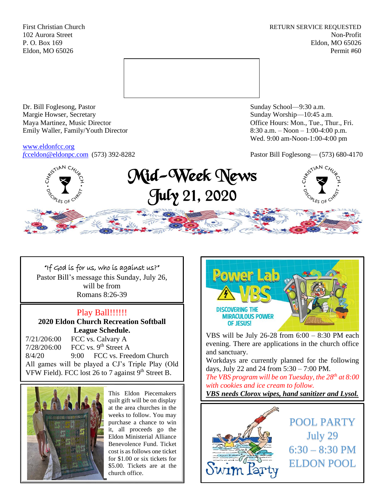First Christian Church **RETURN SERVICE REQUESTED** 102 Aurora Street Non-Profit P. O. Box 169 Eldon, MO 65026 Eldon, MO 65026 Permit #60



Dr. Bill Foglesong, Pastor Sunday School—9:30 a.m. Margie Howser, Secretary Sunday Worship—10:45 a.m. Maya Martinez, Music Director Office Hours: Mon., Tue., Thur., Fri. Emily Waller, Family/Youth Director 8:30 a.m. – Noon – 1:00-4:00 p.m.

[www.eldonfcc.org](http://www.eldonfcc.org/)

Wed. 9:00 am-Noon-1:00-4:00 pm

*f*[cceldon@eldonpc.com](mailto:fcceldon@eldonpc.com) (573) 392-8282 Pastor Bill Foglesong— (573) 680-4170



# "If God is for us, who is against us?" Pastor Bill's message this Sunday, July 26, will be from Romans 8:26-39

# Play Ball!!!!!!

# **2020 Eldon Church Recreation Softball League Schedule.**

7/21/206:00 FCC vs. Calvary A 7/28/206:00 FCC vs. 9<sup>th</sup> Street A 8/4/20 9:00 FCC vs. Freedom Church All games will be played a CJ's Triple Play (Old VFW Field). FCC lost 26 to 7 against  $9<sup>th</sup>$  Street B.



This Eldon Piecemakers quilt gift will be on display at the area churches in the weeks to follow. You may purchase a chance to win it, all proceeds go the Eldon Ministerial Alliance Benevolence Fund. Ticket cost is as follows one ticket for \$1.00 or six tickets for \$5.00. Tickets are at the church office.



VBS will be July 26-28 from 6:00 – 8:30 PM each evening. There are applications in the church office and sanctuary.

Workdays are currently planned for the following days, July 22 and 24 from 5:30 – 7:00 PM.

*The VBS program will be on Tuesday, the 28th at 8:00 with cookies and ice cream to follow.* 

*VBS needs Clorox wipes, hand sanitizer and Lysol.*